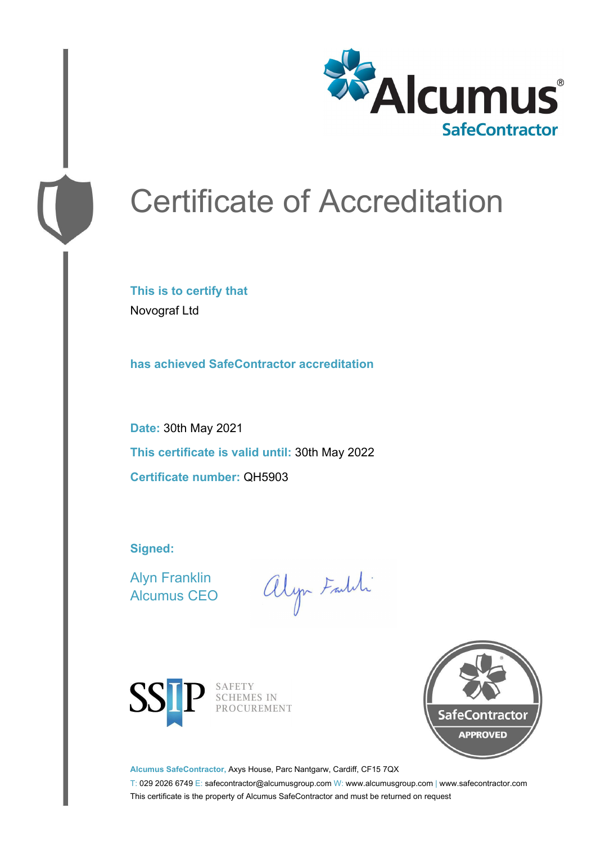

# Certificate of Accreditation

**This is to certify that** Novograf Ltd

**has achieved SafeContractor accreditation**

**Date:** 30th May 2021 **This certificate is valid until:** 30th May 2022 **Certificate number:** QH5903

**Signed:**

Alyn Franklin Alcumus CEO

alyn Faith



SAFETY<br>SCHEMES IN PROCUREMENT



**Alcumus SafeContractor,** Axys House, Parc Nantgarw, Cardiff, CF15 7QX

T: 029 2026 6749 E: safecontractor@alcumusgroup.com W: www.alcumusgroup.com | www.safecontractor.com This certificate is the property of Alcumus SafeContractor and must be returned on request